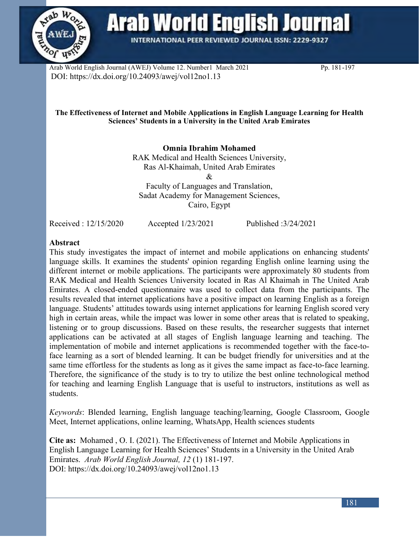

**Arab World English Journal** 

**INTERNATIONAL PEER REVIEWED JOURNAL ISSN: 2229-9327** 

Arab World English Journal (AWEJ) Volume 12. Number1 March 2021 Pp. 181-197 DOI: https://dx.doi.org/10.24093/awej/vol12no1.13

#### **The Effectiveness of Internet and Mobile Applications in English Language Learning for Health Sciences' Students in a University in the United Arab Emirates**

**Omnia Ibrahim Mohamed** RAK Medical and Health Sciences University, Ras Al-Khaimah, United Arab Emirates & Faculty of Languages and Translation, Sadat Academy for Management Sciences, Cairo, Egypt

Received : 12/15/2020 Accepted 1/23/2021 Published :3/24/2021

# **Abstract**

This study investigates the impact of internet and mobile applications on enhancing students' language skills. It examines the students' opinion regarding English online learning using the different internet or mobile applications. The participants were approximately 80 students from RAK Medical and Health Sciences University located in Ras Al Khaimah in The United Arab Emirates. A closed-ended questionnaire was used to collect data from the participants. The results revealed that internet applications have a positive impact on learning English as a foreign language. Students' attitudes towards using internet applications for learning English scored very high in certain areas, while the impact was lower in some other areas that is related to speaking, listening or to group discussions. Based on these results, the researcher suggests that internet applications can be activated at all stages of English language learning and teaching. The implementation of mobile and internet applications is recommended together with the face-toface learning as a sort of blended learning. It can be budget friendly for universities and at the same time effortless for the students as long as it gives the same impact as face-to-face learning. Therefore, the significance of the study is to try to utilize the best online technological method for teaching and learning English Language that is useful to instructors, institutions as well as students.

*Keywords*: Blended learning, English language teaching/learning, Google Classroom, Google Meet, Internet applications, online learning, WhatsApp, Health sciences students

**Cite as:** Mohamed , O. I. (2021). The Effectiveness of Internet and Mobile Applications in English Language Learning for Health Sciences' Students in a University in the United Arab Emirates. *Arab World English Journal, 12* (1) 181-197. DOI: https://dx.doi.org/10.24093/awej/vol12no1.13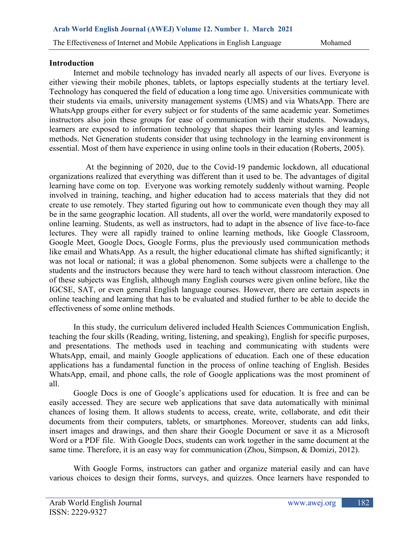### **Introduction**

Internet and mobile technology has invaded nearly all aspects of our lives. Everyone is either viewing their mobile phones, tablets, or laptops especially students at the tertiary level. Technology has conquered the field of education a long time ago. Universities communicate with their students via emails, university management systems (UMS) and via WhatsApp. There are WhatsApp groups either for every subject or for students of the same academic year. Sometimes instructors also join these groups for ease of communication with their students. Nowadays, learners are exposed to information technology that shapes their learning styles and learning methods. Net Generation students consider that using technology in the learning environment is essential. Most of them have experience in using online tools in their education (Roberts, 2005).

 At the beginning of 2020, due to the Covid-19 pandemic lockdown, all educational organizations realized that everything was different than it used to be. The advantages of digital learning have come on top. Everyone was working remotely suddenly without warning. People involved in training, teaching, and higher education had to access materials that they did not create to use remotely. They started figuring out how to communicate even though they may all be in the same geographic location. All students, all over the world, were mandatorily exposed to online learning. Students, as well as instructors, had to adapt in the absence of live face-to-face lectures. They were all rapidly trained to online learning methods, like Google Classroom, Google Meet, Google Docs, Google Forms, plus the previously used communication methods like email and WhatsApp. As a result, the higher educational climate has shifted significantly; it was not local or national; it was a global phenomenon. Some subjects were a challenge to the students and the instructors because they were hard to teach without classroom interaction. One of these subjects was English, although many English courses were given online before, like the IGCSE, SAT, or even general English language courses. However, there are certain aspects in online teaching and learning that has to be evaluated and studied further to be able to decide the effectiveness of some online methods.

In this study, the curriculum delivered included Health Sciences Communication English, teaching the four skills (Reading, writing, listening, and speaking), English for specific purposes, and presentations. The methods used in teaching and communicating with students were WhatsApp, email, and mainly Google applications of education. Each one of these education applications has a fundamental function in the process of online teaching of English. Besides WhatsApp, email, and phone calls, the role of Google applications was the most prominent of all.

Google Docs is one of Google's applications used for education. It is free and can be easily accessed. They are secure web applications that save data automatically with minimal chances of losing them. It allows students to access, create, write, collaborate, and edit their documents from their computers, tablets, or smartphones. Moreover, students can add links, insert images and drawings, and then share their Google Document or save it as a Microsoft Word or a PDF file. With Google Docs, students can work together in the same document at the same time. Therefore, it is an easy way for communication (Zhou, Simpson, & Domizi, 2012).

With Google Forms, instructors can gather and organize material easily and can have various choices to design their forms, surveys, and quizzes. Once learners have responded to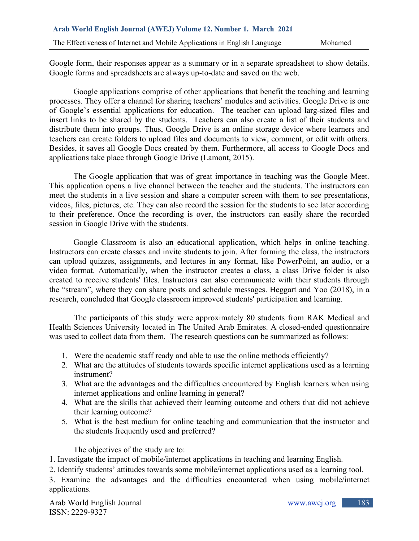Google form, their responses appear as a summary or in a separate spreadsheet to show details. Google forms and spreadsheets are always up-to-date and saved on the web.

Google applications comprise of other applications that benefit the teaching and learning processes. They offer a channel for sharing teachers' modules and activities. Google Drive is one of Google's essential applications for education. The teacher can upload larg-sized files and insert links to be shared by the students. Teachers can also create a list of their students and distribute them into groups. Thus, Google Drive is an online storage device where learners and teachers can create folders to upload files and documents to view, comment, or edit with others. Besides, it saves all Google Docs created by them. Furthermore, all access to Google Docs and applications take place through Google Drive (Lamont, 2015).

The Google application that was of great importance in teaching was the Google Meet. This application opens a live channel between the teacher and the students. The instructors can meet the students in a live session and share a computer screen with them to see presentations, videos, files, pictures, etc. They can also record the session for the students to see later according to their preference. Once the recording is over, the instructors can easily share the recorded session in Google Drive with the students.

Google Classroom is also an educational application, which helps in online teaching. Instructors can create classes and invite students to join. After forming the class, the instructors can upload quizzes, assignments, and lectures in any format, like PowerPoint, an audio, or a video format. Automatically, when the instructor creates a class, a class Drive folder is also created to receive students' files. Instructors can also communicate with their students through the "stream", where they can share posts and schedule messages. Heggart and Yoo (2018), in a research, concluded that Google classroom improved students' participation and learning.

The participants of this study were approximately 80 students from RAK Medical and Health Sciences University located in The United Arab Emirates. A closed-ended questionnaire was used to collect data from them. The research questions can be summarized as follows:

- 1. Were the academic staff ready and able to use the online methods efficiently?
- 2. What are the attitudes of students towards specific internet applications used as a learning instrument?
- 3. What are the advantages and the difficulties encountered by English learners when using internet applications and online learning in general?
- 4. What are the skills that achieved their learning outcome and others that did not achieve their learning outcome?
- 5. What is the best medium for online teaching and communication that the instructor and the students frequently used and preferred?

The objectives of the study are to:

1. Investigate the impact of mobile/internet applications in teaching and learning English.

2. Identify students' attitudes towards some mobile/internet applications used as a learning tool.

3. Examine the advantages and the difficulties encountered when using mobile/internet applications.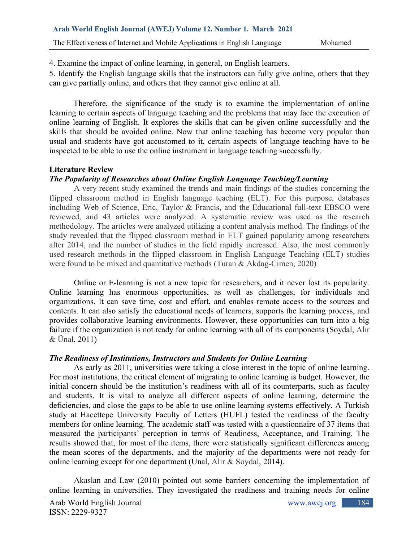4. Examine the impact of online learning, in general, on English learners.

5. Identify the English language skills that the instructors can fully give online, others that they can give partially online, and others that they cannot give online at all.

Therefore, the significance of the study is to examine the implementation of online learning to certain aspects of language teaching and the problems that may face the execution of online learning of English. It explores the skills that can be given online successfully and the skills that should be avoided online. Now that online teaching has become very popular than usual and students have got accustomed to it, certain aspects of language teaching have to be inspected to be able to use the online instrument in language teaching successfully.

# **Literature Review**

# *The Popularity of Researches about Online English Language Teaching/Learning*

A very recent study examined the trends and main findings of the studies concerning the flipped classroom method in English language teaching (ELT). For this purpose, databases including Web of Science, Eric, Taylor & Francis, and the Educational full-text EBSCO were reviewed, and 43 articles were analyzed. A systematic review was used as the research methodology. The articles were analyzed utilizing a content analysis method. The findings of the study revealed that the flipped classroom method in ELT gained popularity among researchers after 2014, and the number of studies in the field rapidly increased. Also, the most commonly used research methods in the flipped classroom in English Language Teaching (ELT) studies were found to be mixed and quantitative methods (Turan & Akdag-Cimen, 2020)

Online or E-learning is not a new topic for researchers, and it never lost its popularity. Online learning has enormous opportunities, as well as challenges, for individuals and organizations. It can save time, cost and effort, and enables remote access to the sources and contents. It can also satisfy the educational needs of learners, supports the learning process, and provides collaborative learning environments. However, these opportunities can turn into a big failure if the organization is not ready for online learning with all of its components (Soydal, Alır & Ünal, 2011)

# *The Readiness of Institutions, Instructors and Students for Online Learning*

As early as 2011, universities were taking a close interest in the topic of online learning. For most institutions, the critical element of migrating to online learning is budget. However, the initial concern should be the institution's readiness with all of its counterparts, such as faculty and students. It is vital to analyze all different aspects of online learning, determine the deficiencies, and close the gaps to be able to use online learning systems effectively. A Turkish study at Hacettepe University Faculty of Letters (HUFL) tested the readiness of the faculty members for online learning. The academic staff was tested with a questionnaire of 37 items that measured the participants' perception in terms of Readiness, Acceptance, and Training. The results showed that, for most of the items, there were statistically significant differences among the mean scores of the departments, and the majority of the departments were not ready for online learning except for one department (Unal, Alır & Soydal, 2014).

Akaslan and Law (2010) pointed out some barriers concerning the implementation of online learning in universities. They investigated the readiness and training needs for online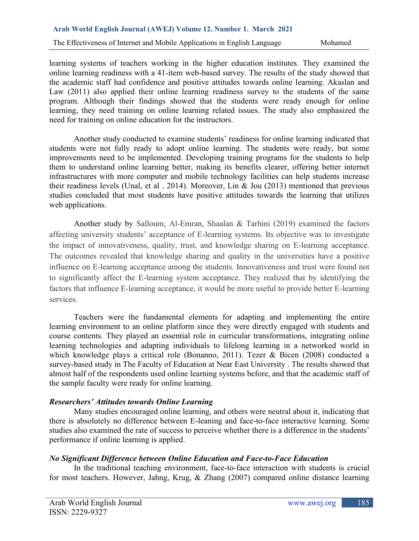learning systems of teachers working in the higher education institutes. They examined the online learning readiness with a 41-item web-based survey. The results of the study showed that the academic staff had confidence and positive attitudes towards online learning. Akaslan and Law (2011) also applied their online learning readiness survey to the students of the same program. Although their findings showed that the students were ready enough for online learning, they need training on online learning related issues. The study also emphasized the need for training on online education for the instructors.

Another study conducted to examine students' readiness for online learning indicated that students were not fully ready to adopt online learning. The students were ready, but some improvements need to be implemented. Developing training programs for the students to help them to understand online learning better, making its benefits clearer, offering better internet infrastructures with more computer and mobile technology facilities can help students increase their readiness levels (Unal, et al , 2014). Moreover, Lin & Jou (2013) mentioned that previous studies concluded that most students have positive attitudes towards the learning that utilizes web applications.

Another study by Salloum, Al-Emran, Shaalan & Tarhini (2019) examined the factors affecting university students' acceptance of E-learning systems. Its objective was to investigate the impact of innovativeness, quality, trust, and knowledge sharing on E-learning acceptance. The outcomes revealed that knowledge sharing and quality in the universities have a positive influence on E-learning acceptance among the students. Innovativeness and trust were found not to significantly affect the E-learning system acceptance. They realized that by identifying the factors that influence E-learning acceptance, it would be more useful to provide better E-learning services.

Teachers were the fundamental elements for adapting and implementing the entire learning environment to an online platform since they were directly engaged with students and course contents. They played an essential role in curricular transformations, integrating online learning technologies and adapting individuals to lifelong learning in a networked world in which knowledge plays a critical role (Bonanno, 2011). Tezer & Bicen (2008) conducted a survey-based study in The Faculty of Education at Near East University . The results showed that almost half of the respondents used online learning systems before, and that the academic staff of the sample faculty were ready for online learning.

# *Researchers' Attitudes towards Online Learning*

Many studies encouraged online learning, and others were neutral about it, indicating that there is absolutely no difference between E-leaning and face-to-face interactive learning. Some studies also examined the rate of success to perceive whether there is a difference in the students' performance if online learning is applied.

# *No Significant Difference between Online Education and Face-to-Face Education*

In the traditional teaching environment, face-to-face interaction with students is crucial for most teachers. However, Jahng, Krug, & Zhang (2007) compared online distance learning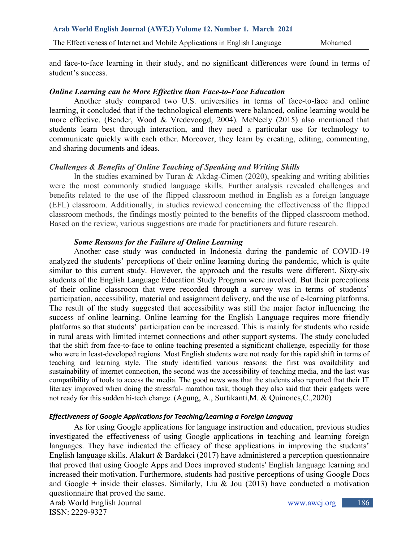The Effectiveness of Internet and Mobile Applications in English Language Mohamed

and face-to-face learning in their study, and no significant differences were found in terms of student's success.

# *Online Learning can be More Effective than Face-to-Face Education*

Another study compared two U.S. universities in terms of face-to-face and online learning, it concluded that if the technological elements were balanced, online learning would be more effective. (Bender, Wood & Vredevoogd, 2004). McNeely (2015) also mentioned that students learn best through interaction, and they need a particular use for technology to communicate quickly with each other. Moreover, they learn by creating, editing, commenting, and sharing documents and ideas.

# *Challenges & Benefits of Online Teaching of Speaking and Writing Skills*

In the studies examined by Turan & Akdag-Cimen (2020), speaking and writing abilities were the most commonly studied language skills. Further analysis revealed challenges and benefits related to the use of the flipped classroom method in English as a foreign language (EFL) classroom. Additionally, in studies reviewed concerning the effectiveness of the flipped classroom methods, the findings mostly pointed to the benefits of the flipped classroom method. Based on the review, various suggestions are made for practitioners and future research.

# *Some Reasons for the Failure of Online Learning*

Another case study was conducted in Indonesia during the pandemic of COVID-19 analyzed the students' perceptions of their online learning during the pandemic, which is quite similar to this current study. However, the approach and the results were different. Sixty-six students of the English Language Education Study Program were involved. But their perceptions of their online classroom that were recorded through a survey was in terms of students' participation, accessibility, material and assignment delivery, and the use of e-learning platforms. The result of the study suggested that accessibility was still the major factor influencing the success of online learning. Online learning for the English Language requires more friendly platforms so that students' participation can be increased. This is mainly for students who reside in rural areas with limited internet connections and other support systems. The study concluded that the shift from face-to-face to online teaching presented a significant challenge, especially for those who were in least-developed regions. Most English students were not ready for this rapid shift in terms of teaching and learning style. The study identified various reasons: the first was availability and sustainability of internet connection, the second was the accessibility of teaching media, and the last was compatibility of tools to access the media. The good news was that the students also reported that their IT literacy improved when doing the stressful- marathon task, though they also said that their gadgets were not ready for this sudden hi-tech change. (Agung, A., Surtikanti,M. & Quinones,C.,2020)

### *Effectiveness of Google Applications for Teaching/Learning a Foreign Languag*

As for using Google applications for language instruction and education, previous studies investigated the effectiveness of using Google applications in teaching and learning foreign languages. They have indicated the efficacy of these applications in improving the students' English language skills. Alakurt & Bardakci (2017) have administered a perception questionnaire that proved that using Google Apps and Docs improved students' English language learning and increased their motivation. Furthermore, students had positive perceptions of using Google Docs and Google + inside their classes. Similarly, Liu & Jou (2013) have conducted a motivation questionnaire that proved the same.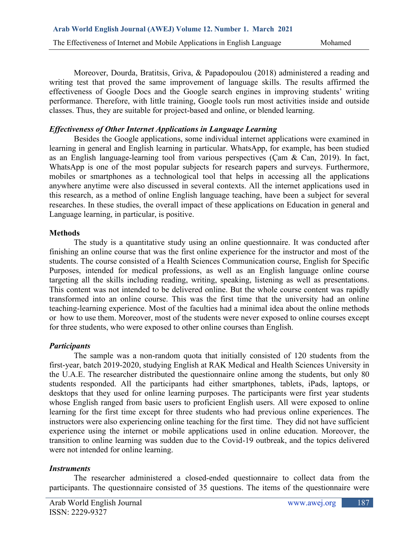Moreover, Dourda, Bratitsis, Griva, & Papadopoulou (2018) administered a reading and writing test that proved the same improvement of language skills. The results affirmed the effectiveness of Google Docs and the Google search engines in improving students' writing performance. Therefore, with little training, Google tools run most activities inside and outside classes. Thus, they are suitable for project-based and online, or blended learning.

# *Effectiveness of Other Internet Applications in Language Learning*

Besides the Google applications, some individual internet applications were examined in learning in general and English learning in particular. WhatsApp, for example, has been studied as an English language-learning tool from various perspectives (Çam & Can, 2019). In fact, WhatsApp is one of the most popular subjects for research papers and surveys. Furthermore, mobiles or smartphones as a technological tool that helps in accessing all the applications anywhere anytime were also discussed in several contexts. All the internet applications used in this research, as a method of online English language teaching, have been a subject for several researches. In these studies, the overall impact of these applications on Education in general and Language learning, in particular, is positive.

### **Methods**

The study is a quantitative study using an online questionnaire. It was conducted after finishing an online course that was the first online experience for the instructor and most of the students. The course consisted of a Health Sciences Communication course, English for Specific Purposes, intended for medical professions, as well as an English language online course targeting all the skills including reading, writing, speaking, listening as well as presentations. This content was not intended to be delivered online. But the whole course content was rapidly transformed into an online course. This was the first time that the university had an online teaching-learning experience. Most of the faculties had a minimal idea about the online methods or how to use them. Moreover, most of the students were never exposed to online courses except for three students, who were exposed to other online courses than English.

# *Participants*

The sample was a non-random quota that initially consisted of 120 students from the first-year, batch 2019-2020, studying English at RAK Medical and Health Sciences University in the U.A.E. The researcher distributed the questionnaire online among the students, but only 80 students responded. All the participants had either smartphones, tablets, iPads, laptops, or desktops that they used for online learning purposes. The participants were first year students whose English ranged from basic users to proficient English users. All were exposed to online learning for the first time except for three students who had previous online experiences. The instructors were also experiencing online teaching for the first time. They did not have sufficient experience using the internet or mobile applications used in online education. Moreover, the transition to online learning was sudden due to the Covid-19 outbreak, and the topics delivered were not intended for online learning.

### *Instruments*

The researcher administered a closed-ended questionnaire to collect data from the participants. The questionnaire consisted of 35 questions. The items of the questionnaire were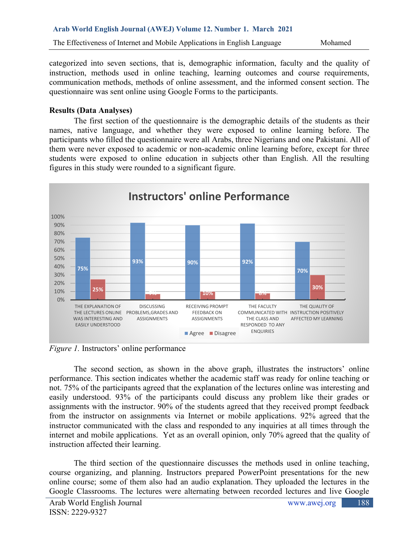categorized into seven sections, that is, demographic information, faculty and the quality of instruction, methods used in online teaching, learning outcomes and course requirements, communication methods, methods of online assessment, and the informed consent section. The questionnaire was sent online using Google Forms to the participants.

# **Results (Data Analyses)**

The first section of the questionnaire is the demographic details of the students as their names, native language, and whether they were exposed to online learning before. The participants who filled the questionnaire were all Arabs, three Nigerians and one Pakistani. All of them were never exposed to academic or non-academic online learning before, except for three students were exposed to online education in subjects other than English. All the resulting figures in this study were rounded to a significant figure.



*Figure 1.* Instructors' online performance

The second section, as shown in the above graph, illustrates the instructors' online performance. This section indicates whether the academic staff was ready for online teaching or not. 75% of the participants agreed that the explanation of the lectures online was interesting and easily understood. 93% of the participants could discuss any problem like their grades or assignments with the instructor. 90% of the students agreed that they received prompt feedback from the instructor on assignments via Internet or mobile applications. 92% agreed that the instructor communicated with the class and responded to any inquiries at all times through the internet and mobile applications. Yet as an overall opinion, only 70% agreed that the quality of instruction affected their learning.

The third section of the questionnaire discusses the methods used in online teaching, course organizing, and planning. Instructors prepared PowerPoint presentations for the new online course; some of them also had an audio explanation. They uploaded the lectures in the Google Classrooms. The lectures were alternating between recorded lectures and live Google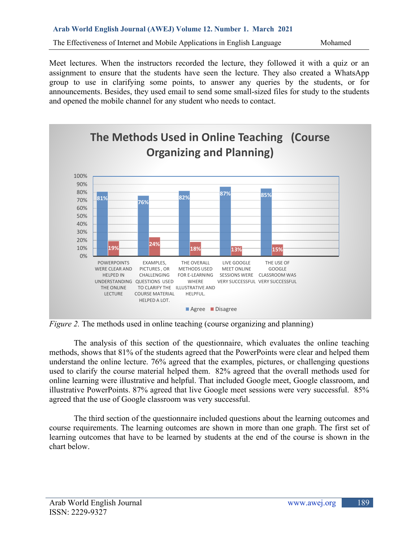Meet lectures. When the instructors recorded the lecture, they followed it with a quiz or an assignment to ensure that the students have seen the lecture. They also created a WhatsApp group to use in clarifying some points, to answer any queries by the students, or for announcements. Besides, they used email to send some small-sized files for study to the students and opened the mobile channel for any student who needs to contact.



*Figure 2.* The methods used in online teaching (course organizing and planning)

The analysis of this section of the questionnaire, which evaluates the online teaching methods, shows that 81% of the students agreed that the PowerPoints were clear and helped them understand the online lecture. 76% agreed that the examples, pictures, or challenging questions used to clarify the course material helped them. 82% agreed that the overall methods used for online learning were illustrative and helpful. That included Google meet, Google classroom, and illustrative PowerPoints. 87% agreed that live Google meet sessions were very successful. 85% agreed that the use of Google classroom was very successful.

The third section of the questionnaire included questions about the learning outcomes and course requirements. The learning outcomes are shown in more than one graph. The first set of learning outcomes that have to be learned by students at the end of the course is shown in the chart below.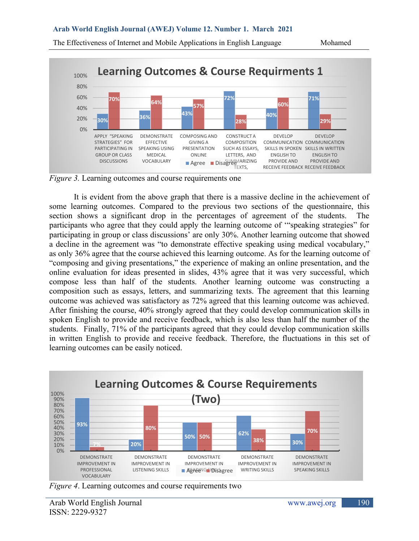#### **Arab World English Journal (AWEJ) Volume 12. Number 1. March 2021**



The Effectiveness of Internet and Mobile Applications in English Language Mohamed

*Figure 3.* Learning outcomes and course requirements one

It is evident from the above graph that there is a massive decline in the achievement of some learning outcomes. Compared to the previous two sections of the questionnaire, this section shows a significant drop in the percentages of agreement of the students. The participants who agree that they could apply the learning outcome of '"speaking strategies" for participating in group or class discussions' are only 30%. Another learning outcome that showed a decline in the agreement was "to demonstrate effective speaking using medical vocabulary," as only 36% agree that the course achieved this learning outcome. As for the learning outcome of "composing and giving presentations," the experience of making an online presentation, and the online evaluation for ideas presented in slides, 43% agree that it was very successful, which compose less than half of the students. Another learning outcome was constructing a composition such as essays, letters, and summarizing texts. The agreement that this learning outcome was achieved was satisfactory as 72% agreed that this learning outcome was achieved. After finishing the course, 40% strongly agreed that they could develop communication skills in spoken English to provide and receive feedback, which is also less than half the number of the students. Finally, 71% of the participants agreed that they could develop communication skills in written English to provide and receive feedback. Therefore, the fluctuations in this set of learning outcomes can be easily noticed.



*Figure 4*. Learning outcomes and course requirements two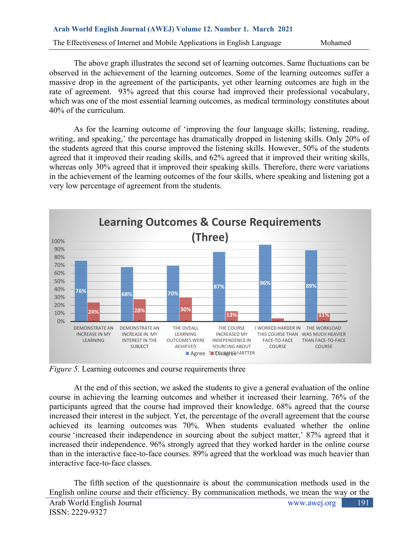The above graph illustrates the second set of learning outcomes. Same fluctuations can be observed in the achievement of the learning outcomes. Some of the learning outcomes suffer a massive drop in the agreement of the participants, yet other learning outcomes are high in the rate of agreement. 93% agreed that this course had improved their professional vocabulary, which was one of the most essential learning outcomes, as medical terminology constitutes about 40% of the curriculum.

As for the learning outcome of 'improving the four language skills; listening, reading, writing, and speaking,' the percentage has dramatically dropped in listening skills. Only 20% of the students agreed that this course improved the listening skills. However, 50% of the students agreed that it improved their reading skills, and 62% agreed that it improved their writing skills, whereas only 30% agreed that it improved their speaking skills. Therefore, there were variations in the achievement of the learning outcomes of the four skills, where speaking and listening got a very low percentage of agreement from the students.



*Figure 5.* Learning outcomes and course requirements three

At the end of this section, we asked the students to give a general evaluation of the online course in achieving the learning outcomes and whether it increased their learning. 76% of the participants agreed that the course had improved their knowledge. 68% agreed that the course increased their interest in the subject. Yet, the percentage of the overall agreement that the course achieved its learning outcomes was 70%. When students evaluated whether the online course 'increased their independence in sourcing about the subject matter,' 87% agreed that it increased their independence. 96% strongly agreed that they worked harder in the online course than in the interactive face-to-face courses. 89% agreed that the workload was much heavier than interactive face-to-face classes.

The fifth section of the questionnaire is about the communication methods used in the English online course and their efficiency. By communication methods, we mean the way or the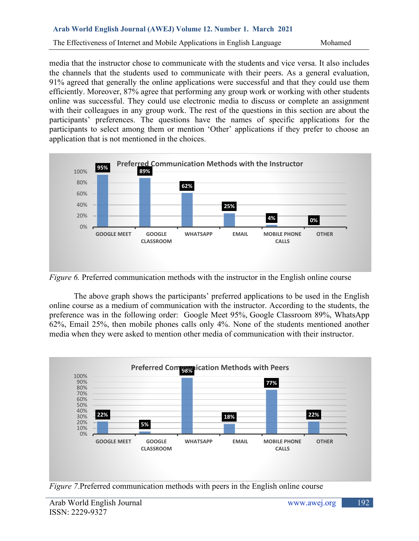### The Effectiveness of Internet and Mobile Applications in English Language Mohamed

media that the instructor chose to communicate with the students and vice versa. It also includes the channels that the students used to communicate with their peers. As a general evaluation, 91% agreed that generally the online applications were successful and that they could use them efficiently. Moreover, 87% agree that performing any group work or working with other students online was successful. They could use electronic media to discuss or complete an assignment with their colleagues in any group work. The rest of the questions in this section are about the participants' preferences. The questions have the names of specific applications for the participants to select among them or mention 'Other' applications if they prefer to choose an application that is not mentioned in the choices.



*Figure 6.* Preferred communication methods with the instructor in the English online course

The above graph shows the participants' preferred applications to be used in the English online course as a medium of communication with the instructor. According to the students, the preference was in the following order: Google Meet 95%, Google Classroom 89%, WhatsApp 62%, Email 25%, then mobile phones calls only 4%. None of the students mentioned another media when they were asked to mention other media of communication with their instructor.



*Figure 7*.Preferred communication methods with peers in the English online course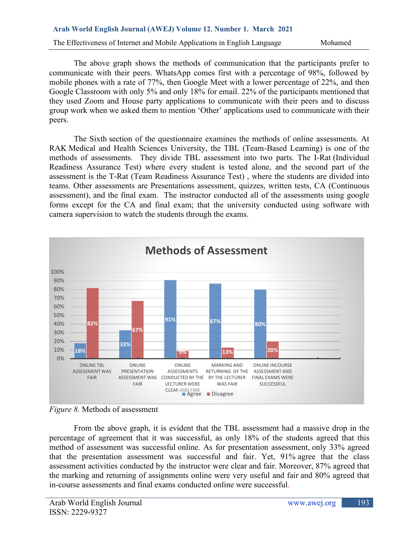# **Arab World English Journal (AWEJ) Volume 12. Number 1. March 2021**

The Effectiveness of Internet and Mobile Applications in English Language Mohamed

The above graph shows the methods of communication that the participants prefer to communicate with their peers. WhatsApp comes first with a percentage of 98%, followed by mobile phones with a rate of 77%, then Google Meet with a lower percentage of 22%, and then Google Classroom with only 5% and only 18% for email. 22% of the participants mentioned that they used Zoom and House party applications to communicate with their peers and to discuss group work when we asked them to mention 'Other' applications used to communicate with their peers.

The Sixth section of the questionnaire examines the methods of online assessments. At RAK Medical and Health Sciences University, the TBL (Team-Based Learning) is one of the methods of assessments. They divide TBL assessment into two parts. The I-Rat (Individual Readiness Assurance Test) where every student is tested alone, and the second part of the assessment is the T-Rat (Team Readiness Assurance Test) , where the students are divided into teams. Other assessments are Presentations assessment, quizzes, written tests, CA (Continuous assessment), and the final exam. The instructor conducted all of the assessments using google forms except for the CA and final exam; that the university conducted using software with camera supervision to watch the students through the exams.



*Figure 8.* Methods of assessment

From the above graph, it is evident that the TBL assessment had a massive drop in the percentage of agreement that it was successful, as only 18% of the students agreed that this method of assessment was successful online. As for presentation assessment, only 33% agreed that the presentation assessment was successful and fair. Yet, 91% agree that the class assessment activities conducted by the instructor were clear and fair. Moreover, 87% agreed that the marking and returning of assignments online were very useful and fair and 80% agreed that in-course assessments and final exams conducted online were successful.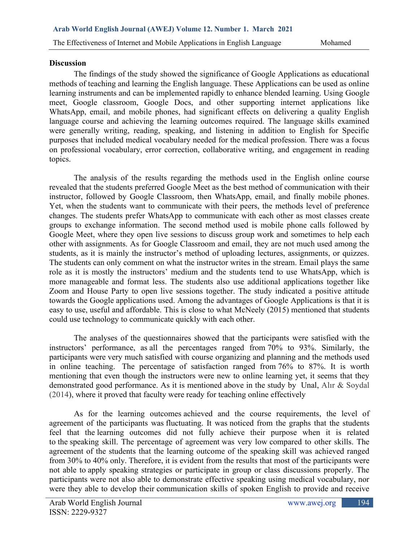# **Discussion**

The findings of the study showed the significance of Google Applications as educational methods of teaching and learning the English language. These Applications can be used as online learning instruments and can be implemented rapidly to enhance blended learning. Using Google meet, Google classroom, Google Docs, and other supporting internet applications like WhatsApp, email, and mobile phones, had significant effects on delivering a quality English language course and achieving the learning outcomes required. The language skills examined were generally writing, reading, speaking, and listening in addition to English for Specific purposes that included medical vocabulary needed for the medical profession. There was a focus on professional vocabulary, error correction, collaborative writing, and engagement in reading topics.

The analysis of the results regarding the methods used in the English online course revealed that the students preferred Google Meet as the best method of communication with their instructor, followed by Google Classroom, then WhatsApp, email, and finally mobile phones. Yet, when the students want to communicate with their peers, the methods level of preference changes. The students prefer WhatsApp to communicate with each other as most classes create groups to exchange information. The second method used is mobile phone calls followed by Google Meet, where they open live sessions to discuss group work and sometimes to help each other with assignments. As for Google Classroom and email, they are not much used among the students, as it is mainly the instructor's method of uploading lectures, assignments, or quizzes. The students can only comment on what the instructor writes in the stream. Email plays the same role as it is mostly the instructors' medium and the students tend to use WhatsApp, which is more manageable and format less. The students also use additional applications together like Zoom and House Party to open live sessions together. The study indicated a positive attitude towards the Google applications used. Among the advantages of Google Applications is that it is easy to use, useful and affordable. This is close to what McNeely (2015) mentioned that students could use technology to communicate quickly with each other.

The analyses of the questionnaires showed that the participants were satisfied with the instructors' performance, as all the percentages ranged from 70% to 93%. Similarly, the participants were very much satisfied with course organizing and planning and the methods used in online teaching. The percentage of satisfaction ranged from 76% to 87%. It is worth mentioning that even though the instructors were new to online learning yet, it seems that they demonstrated good performance. As it is mentioned above in the study by Unal, Alır & Soydal (2014), where it proved that faculty were ready for teaching online effectively

As for the learning outcomes achieved and the course requirements, the level of agreement of the participants was fluctuating. It was noticed from the graphs that the students feel that the learning outcomes did not fully achieve their purpose when it is related to the speaking skill. The percentage of agreement was very low compared to other skills. The agreement of the students that the learning outcome of the speaking skill was achieved ranged from 30% to 40% only. Therefore, it is evident from the results that most of the participants were not able to apply speaking strategies or participate in group or class discussions properly. The participants were not also able to demonstrate effective speaking using medical vocabulary, nor were they able to develop their communication skills of spoken English to provide and receive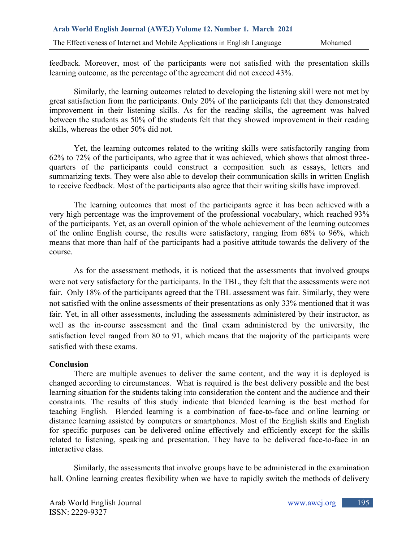feedback. Moreover, most of the participants were not satisfied with the presentation skills learning outcome, as the percentage of the agreement did not exceed 43%.

Similarly, the learning outcomes related to developing the listening skill were not met by great satisfaction from the participants. Only 20% of the participants felt that they demonstrated improvement in their listening skills. As for the reading skills, the agreement was halved between the students as 50% of the students felt that they showed improvement in their reading skills, whereas the other 50% did not.

Yet, the learning outcomes related to the writing skills were satisfactorily ranging from 62% to 72% of the participants, who agree that it was achieved, which shows that almost threequarters of the participants could construct a composition such as essays, letters and summarizing texts. They were also able to develop their communication skills in written English to receive feedback. Most of the participants also agree that their writing skills have improved.

The learning outcomes that most of the participants agree it has been achieved with a very high percentage was the improvement of the professional vocabulary, which reached 93% of the participants. Yet, as an overall opinion of the whole achievement of the learning outcomes of the online English course, the results were satisfactory, ranging from 68% to 96%, which means that more than half of the participants had a positive attitude towards the delivery of the course.

As for the assessment methods, it is noticed that the assessments that involved groups were not very satisfactory for the participants. In the TBL, they felt that the assessments were not fair. Only 18% of the participants agreed that the TBL assessment was fair. Similarly, they were not satisfied with the online assessments of their presentations as only 33% mentioned that it was fair. Yet, in all other assessments, including the assessments administered by their instructor, as well as the in-course assessment and the final exam administered by the university, the satisfaction level ranged from 80 to 91, which means that the majority of the participants were satisfied with these exams.

# **Conclusion**

There are multiple avenues to deliver the same content, and the way it is deployed is changed according to circumstances. What is required is the best delivery possible and the best learning situation for the students taking into consideration the content and the audience and their constraints. The results of this study indicate that blended learning is the best method for teaching English. Blended learning is a combination of face-to-face and online learning or distance learning assisted by computers or smartphones. Most of the English skills and English for specific purposes can be delivered online effectively and efficiently except for the skills related to listening, speaking and presentation. They have to be delivered face-to-face in an interactive class.

Similarly, the assessments that involve groups have to be administered in the examination hall. Online learning creates flexibility when we have to rapidly switch the methods of delivery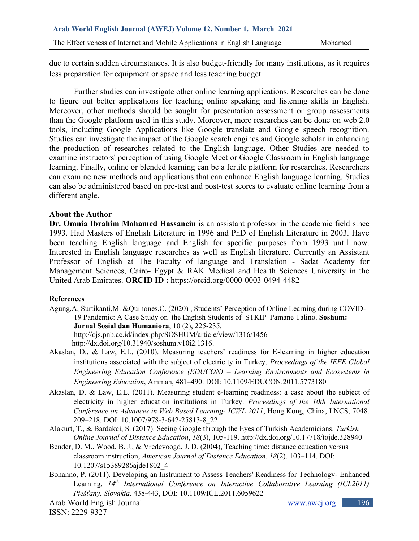due to certain sudden circumstances. It is also budget-friendly for many institutions, as it requires less preparation for equipment or space and less teaching budget.

Further studies can investigate other online learning applications. Researches can be done to figure out better applications for teaching online speaking and listening skills in English. Moreover, other methods should be sought for presentation assessment or group assessments than the Google platform used in this study. Moreover, more researches can be done on web 2.0 tools, including Google Applications like Google translate and Google speech recognition. Studies can investigate the impact of the Google search engines and Google scholar in enhancing the production of researches related to the English language. Other Studies are needed to examine instructors' perception of using Google Meet or Google Classroom in English language learning. Finally, online or blended learning can be a fertile platform for researches. Researchers can examine new methods and applications that can enhance English language learning. Studies can also be administered based on pre-test and post-test scores to evaluate online learning from a different angle.

# **About the Author**

**Dr. Omnia Ibrahim Mohamed Hassanein** is an assistant professor in the academic field since 1993. Had Masters of English Literature in 1996 and PhD of English Literature in 2003. Have been teaching English language and English for specific purposes from 1993 until now. Interested in English language researches as well as English literature. Currently an Assistant Professor of English at The Faculty of language and Translation - Sadat Academy for Management Sciences, Cairo- Egypt & RAK Medical and Health Sciences University in the United Arab Emirates. **ORCID ID :** <https://orcid.org/0000-0003-0494-4482>

# **References**

- Agung,A, Surtikanti,M. &Quinones,C. (2020) , Students' Perception of Online Learning during COVID-19 Pandemic: A Case Study on the English Students of STKIP Pamane Talino. **Soshum: Jurnal Sosial dan Humaniora**, 10 (2), 225-235. <http://ojs.pnb.ac.id/index.php/SOSHUM/article/view/1316/1456> [http://dx.doi.org/10.31940/soshum.v10i2.1316.](http://dx.doi.org/10.31940/soshum.v10i2.1316)
- Akaslan, D., & Law, E.L. (2010). Measuring teachers' readiness for E-learning in higher education institutions associated with the subject of electricity in Turkey. *Proceedings of the IEEE Global Engineering Education Conference (EDUCON) – Learning Environments and Ecosystems in Engineering Education*, Amman, 481–490. DOI: [10.1109/EDUCON.2011.5773180](https://www.researchgate.net/deref/http%3A%2F%2Fdx.doi.org%2F10.1109%2FEDUCON.2011.5773180?_sg%5B0%5D=_BibCXV8xo6ichXV6QO7jJkr-_7-KxxAFI5n9vW1KO5DNUD9Y3EPzPDTkjg93hZonVmvpH2IRORYeQ0kj_-HARXqGg.MU5tktoxdOH7HIeuSxUFKQsXBOq7ctca2z5RcVGqeUpr0iaemmSCV01XMJDVLWaR_G4omHNTjAngd9bYpX5uGA)
- Akaslan, D. & Law, E.L. (2011). Measuring student e-learning readiness: a case about the subject of electricity in higher education institutions in Turkey. *Proceedings of the 10th International Conference on Advances in Web Based Learning- ICWL 2011*, Hong Kong, China, LNCS, 7048*,* 209–218. DOI: [10.1007/978-3-642-25813-8\\_22](https://www.researchgate.net/deref/http%3A%2F%2Fdx.doi.org%2F10.1007%2F978-3-642-25813-8_22?_sg%5B0%5D=NVhJ0R8tVFUGVTH3tI7WWdELK7C5RestcTsmFlAh5kv1jL8KvIb1m6dWO8rc0zMZoEwaNW76AMGsEQPbPTADi_Uq0w.E3GN2xeszpnD25gAW3dKK4Yb49Wfre-s_YrntRw9zD0wZyEW1vsgS6kQhqERwIhLBEBXVdGlmwfZN4hR6p6JsQ)
- Alakurt, T., & Bardakci, S. (2017). Seeing Google through the Eyes of Turkish Academicians. *Turkish Online Journal of Distance Education*, *18*(3), 105-119.<http://dx.doi.org/10.17718/tojde.328940>
- Bender, D. M., Wood, B. J., & Vredevoogd, J. D. (2004), Teaching time: distance education versus classroom instruction, *American Journal of Distance Education. 18*(2), 103–114. DOI: [10.1207/s15389286ajde1802\\_4](https://www.researchgate.net/deref/http%3A%2F%2Fdx.doi.org%2F10.1207%2Fs15389286ajde1802_4?_sg%5B0%5D=DB-4rGwERZf2yJlYONbbSPiOWP-BuR_0tC1VP8MHQXZAQnrUGDH4WpAy_VNp38T1-6C3p1H8cYaHyhFqMl5v030OIw.JlxVG0bHK9UxUjoM6X7NOpBowDkbCusTLoQ23MRDPrLuzX7DPfPx4v0W0meq6Q0sUzAYUat7T6hGkyB5AHticg)
- Bonanno, P. (2011). Developing an Instrument to Assess Teachers' Readiness for Technology- Enhanced Learning.  $14<sup>th</sup> International Conference on Interactive Collaboration (ICL2011)$ *Piešťany, Slovakia,* 438-443, DOI: [10.1109/ICL.2011.6059622](https://www.researchgate.net/deref/http%3A%2F%2Fdx.doi.org%2F10.1109%2FICL.2011.6059622?_sg%5B0%5D=MGPty_RMIQzMXvbFZDCDZX8Zvuh5o1iOr9yQ3hBvH4PlwfMz-5kj6YGAHXIc8wAhtkQriKi6eBU95iyejJfsUH1qLQ.TE2FgW2mkxkDk6dDhp9nCu3gauy3UjL9LdCNlhpjAyNxFp7bGGeLnEneCTq9bgU6H5LYl7z_16mftU1XXVagIQ)